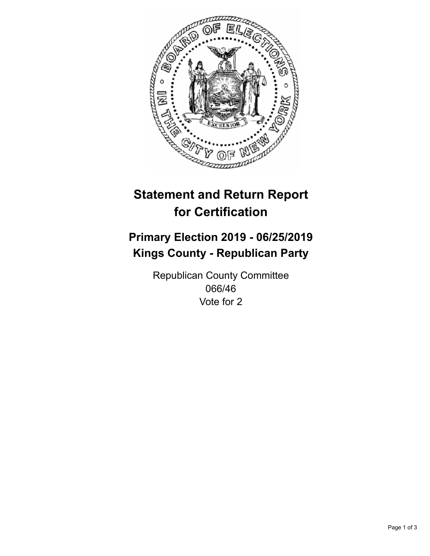

## **Statement and Return Report for Certification**

## **Primary Election 2019 - 06/25/2019 Kings County - Republican Party**

Republican County Committee 066/46 Vote for 2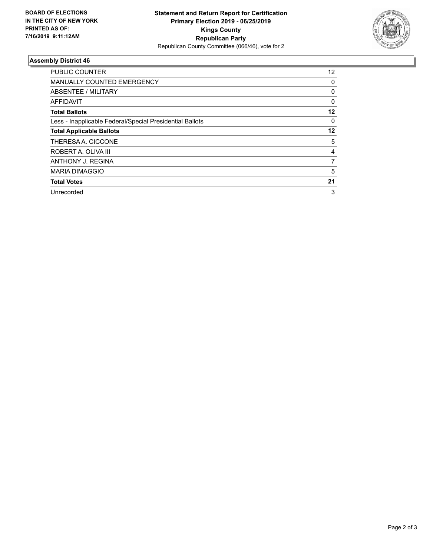

## **Assembly District 46**

| <b>PUBLIC COUNTER</b>                                    | $12 \overline{ }$ |
|----------------------------------------------------------|-------------------|
| <b>MANUALLY COUNTED EMERGENCY</b>                        | 0                 |
| ABSENTEE / MILITARY                                      | 0                 |
| AFFIDAVIT                                                | $\Omega$          |
| <b>Total Ballots</b>                                     | 12                |
| Less - Inapplicable Federal/Special Presidential Ballots | 0                 |
| <b>Total Applicable Ballots</b>                          | 12                |
| THERESA A. CICCONE                                       | 5                 |
| ROBERT A. OLIVA III                                      | 4                 |
| ANTHONY J. REGINA                                        | 7                 |
| <b>MARIA DIMAGGIO</b>                                    | 5                 |
| <b>Total Votes</b>                                       | 21                |
| Unrecorded                                               | 3                 |